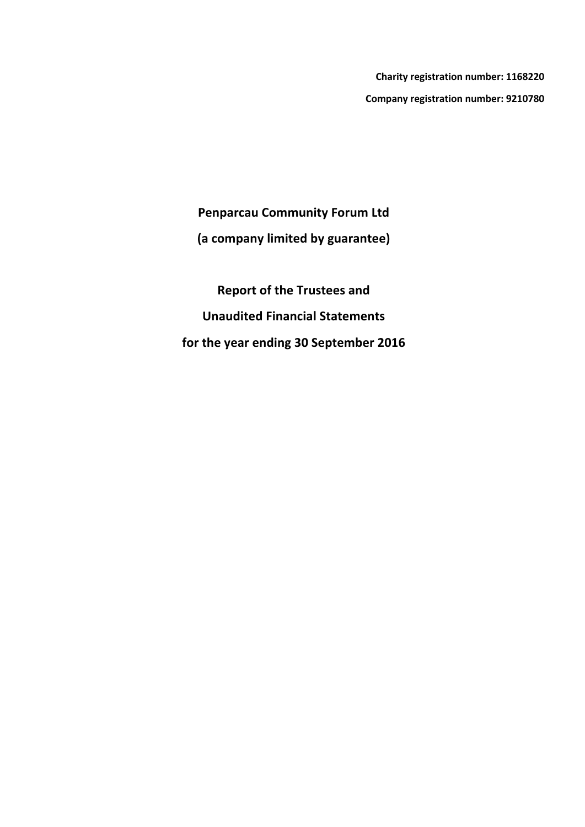**Charity registration number: 1168220 Company registration number: 9210780**

**Penparcau Community Forum Ltd**

**(a company limited by guarantee)**

**Report of the Trustees and Unaudited Financial Statements for the year ending 30 September 2016**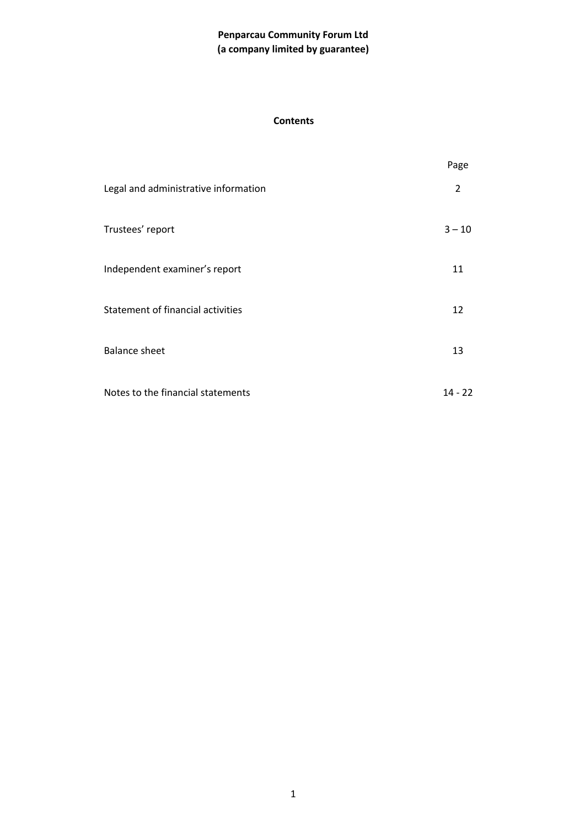#### **Contents**

|                                      | Page      |
|--------------------------------------|-----------|
| Legal and administrative information | 2         |
| Trustees' report                     | $3 - 10$  |
| Independent examiner's report        | 11        |
| Statement of financial activities    | 12        |
| <b>Balance sheet</b>                 | 13        |
| Notes to the financial statements    | $14 - 22$ |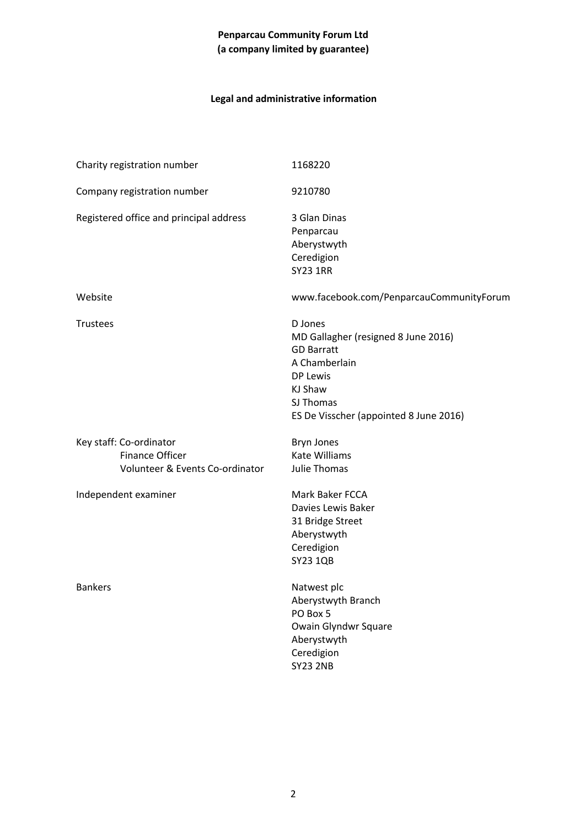# **Legal and administrative information**

| Charity registration number                       |                                 | 1168220                                                                                                                                                            |
|---------------------------------------------------|---------------------------------|--------------------------------------------------------------------------------------------------------------------------------------------------------------------|
| Company registration number                       |                                 | 9210780                                                                                                                                                            |
| Registered office and principal address           |                                 | 3 Glan Dinas<br>Penparcau<br>Aberystwyth<br>Ceredigion<br><b>SY23 1RR</b>                                                                                          |
| Website                                           |                                 | www.facebook.com/PenparcauCommunityForum                                                                                                                           |
| <b>Trustees</b>                                   |                                 | D Jones<br>MD Gallagher (resigned 8 June 2016)<br><b>GD Barratt</b><br>A Chamberlain<br>DP Lewis<br>KJ Shaw<br>SJ Thomas<br>ES De Visscher (appointed 8 June 2016) |
| Key staff: Co-ordinator<br><b>Finance Officer</b> | Volunteer & Events Co-ordinator | <b>Bryn Jones</b><br><b>Kate Williams</b><br>Julie Thomas                                                                                                          |
| Independent examiner                              |                                 | Mark Baker FCCA<br>Davies Lewis Baker<br>31 Bridge Street<br>Aberystwyth<br>Ceredigion<br><b>SY23 1QB</b>                                                          |
| <b>Bankers</b>                                    |                                 | Natwest plc<br>Aberystwyth Branch<br>PO Box 5<br>Owain Glyndwr Square<br>Aberystwyth<br>Ceredigion<br><b>SY23 2NB</b>                                              |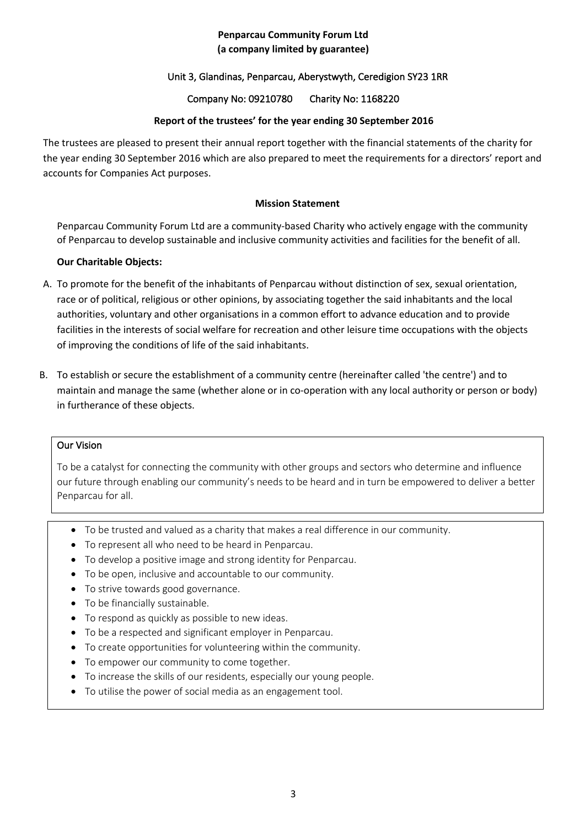# Unit 3, Glandinas, Penparcau, Aberystwyth, Ceredigion SY23 1RR

Company No: 09210780 Charity No: 1168220

# **Report of the trustees' for the year ending 30 September 2016**

The trustees are pleased to present their annual report together with the financial statements of the charity for the year ending 30 September 2016 which are also prepared to meet the requirements for a directors' report and accounts for Companies Act purposes.

#### **Mission Statement**

Penparcau Community Forum Ltd are a community-based Charity who actively engage with the community of Penparcau to develop sustainable and inclusive community activities and facilities for the benefit of all.

# **Our Charitable Objects:**

- A. To promote for the benefit of the inhabitants of Penparcau without distinction of sex, sexual orientation, race or of political, religious or other opinions, by associating together the said inhabitants and the local authorities, voluntary and other organisations in a common effort to advance education and to provide facilities in the interests of social welfare for recreation and other leisure time occupations with the objects of improving the conditions of life of the said inhabitants.
- B. To establish or secure the establishment of a community centre (hereinafter called 'the centre') and to maintain and manage the same (whether alone or in co-operation with any local authority or person or body) in furtherance of these objects.

#### Our Vision

To be a catalyst for connecting the community with other groups and sectors who determine and influence our future through enabling our community's needs to be heard and in turn be empowered to deliver a better Penparcau for all.

- To be trusted and valued as a charity that makes a real difference in our community.
- To represent all who need to be heard in Penparcau.
- To develop a positive image and strong identity for Penparcau.
- To be open, inclusive and accountable to our community.
- To strive towards good governance.
- To be financially sustainable.
- To respond as quickly as possible to new ideas.
- To be a respected and significant employer in Penparcau.
- To create opportunities for volunteering within the community.
- To empower our community to come together.
- To increase the skills of our residents, especially our young people.
- To utilise the power of social media as an engagement tool.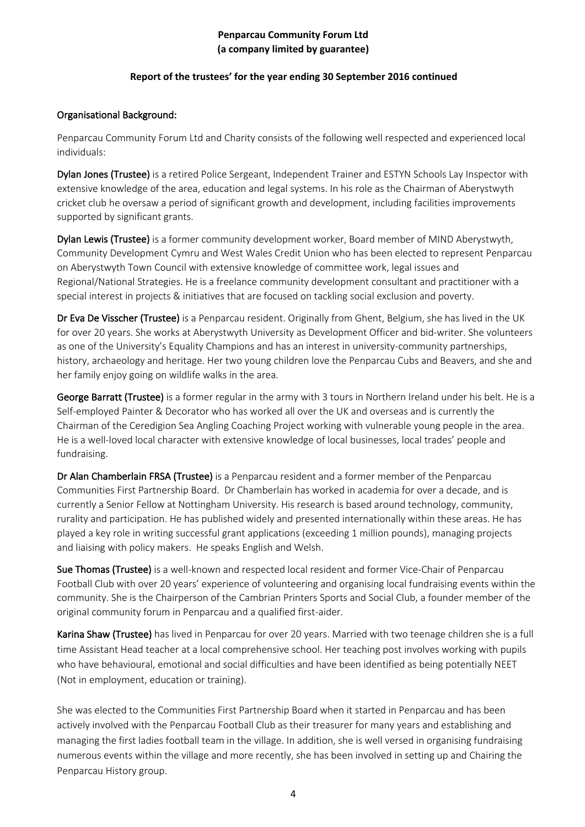# **Report of the trustees' for the year ending 30 September 2016 continued**

#### Organisational Background:

Penparcau Community Forum Ltd and Charity consists of the following well respected and experienced local individuals:

Dylan Jones (Trustee) is a retired Police Sergeant, Independent Trainer and ESTYN Schools Lay Inspector with extensive knowledge of the area, education and legal systems. In his role as the Chairman of Aberystwyth cricket club he oversaw a period of significant growth and development, including facilities improvements supported by significant grants.

Dylan Lewis (Trustee) is a former community development worker, Board member of MIND Aberystwyth, Community Development Cymru and West Wales Credit Union who has been elected to represent Penparcau on Aberystwyth Town Council with extensive knowledge of committee work, legal issues and Regional/National Strategies. He is a freelance community development consultant and practitioner with a special interest in projects & initiatives that are focused on tackling social exclusion and poverty.

Dr Eva De Visscher (Trustee) is a Penparcau resident. Originally from Ghent, Belgium, she has lived in the UK for over 20 years. She works at Aberystwyth University as Development Officer and bid-writer. She volunteers as one of the University's Equality Champions and has an interest in university-community partnerships, history, archaeology and heritage. Her two young children love the Penparcau Cubs and Beavers, and she and her family enjoy going on wildlife walks in the area.

George Barratt (Trustee) is a former regular in the army with 3 tours in Northern Ireland under his belt. He is a Self-employed Painter & Decorator who has worked all over the UK and overseas and is currently the Chairman of the Ceredigion Sea Angling Coaching Project working with vulnerable young people in the area. He is a well-loved local character with extensive knowledge of local businesses, local trades' people and fundraising.

Dr Alan Chamberlain FRSA (Trustee) is a Penparcau resident and a former member of the Penparcau Communities First Partnership Board. Dr Chamberlain has worked in academia for over a decade, and is currently a Senior Fellow at Nottingham University. His research is based around technology, community, rurality and participation. He has published widely and presented internationally within these areas. He has played a key role in writing successful grant applications (exceeding 1 million pounds), managing projects and liaising with policy makers. He speaks English and Welsh.

Sue Thomas (Trustee) is a well-known and respected local resident and former Vice-Chair of Penparcau Football Club with over 20 years' experience of volunteering and organising local fundraising events within the community. She is the Chairperson of the Cambrian Printers Sports and Social Club, a founder member of the original community forum in Penparcau and a qualified first-aider.

Karina Shaw (Trustee) has lived in Penparcau for over 20 years. Married with two teenage children she is a full time Assistant Head teacher at a local comprehensive school. Her teaching post involves working with pupils who have behavioural, emotional and social difficulties and have been identified as being potentially NEET (Not in employment, education or training).

She was elected to the Communities First Partnership Board when it started in Penparcau and has been actively involved with the Penparcau Football Club as their treasurer for many years and establishing and managing the first ladies football team in the village. In addition, she is well versed in organising fundraising numerous events within the village and more recently, she has been involved in setting up and Chairing the Penparcau History group.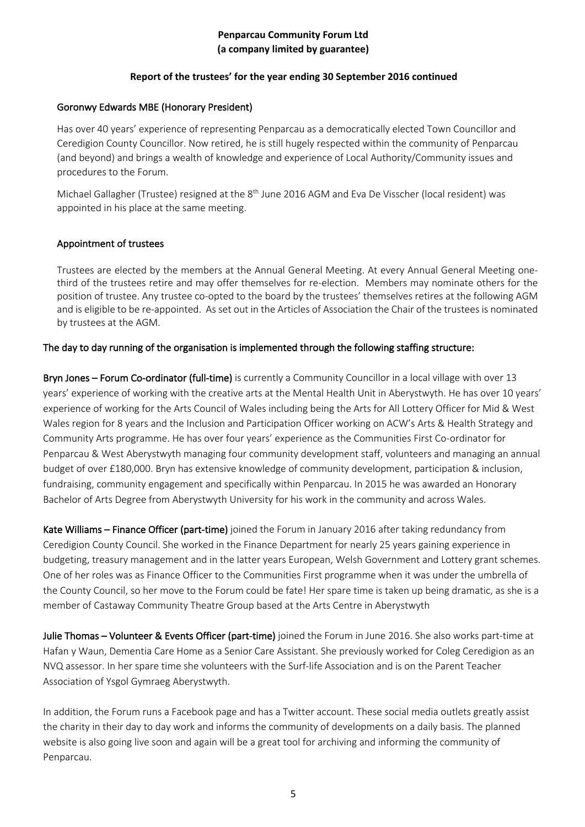## **Report of the trustees' for the year ending 30 September 2016 continued**

#### Goronwy Edwards MBE (Honorary President)

Has over 40 years' experience of representing Penparcau as a democratically elected Town Councillor and Ceredigion County Councillor. Now retired, he is still hugely respected within the community of Penparcau (and beyond) and brings a wealth of knowledge and experience of Local Authority/Community issues and procedures to the Forum.

Michael Gallagher (Trustee) resigned at the 8<sup>th</sup> June 2016 AGM and Eva De Visscher (local resident) was appointed in his place at the same meeting.

#### Appointment of trustees

Trustees are elected by the members at the Annual General Meeting. At every Annual General Meeting onethird of the trustees retire and may offer themselves for re-election. Members may nominate others for the position of trustee. Any trustee co-opted to the board by the trustees' themselves retires at the following AGM and is eligible to be re-appointed. As set out in the Articles of Association the Chair of the trustees is nominated by trustees at the AGM.

#### The day to day running of the organisation is implemented through the following staffing structure:

Bryn Jones – Forum Co-ordinator (full-time) is currently a Community Councillor in a local village with over 13 years' experience of working with the creative arts at the Mental Health Unit in Aberystwyth. He has over 10 years' experience of working for the Arts Council of Wales including being the Arts for All Lottery Officer for Mid & West Wales region for 8 years and the Inclusion and Participation Officer working on ACW's Arts & Health Strategy and Community Arts programme. He has over four years' experience as the Communities First Co-ordinator for Penparcau & West Aberystwyth managing four community development staff, volunteers and managing an annual budget of over £180,000. Bryn has extensive knowledge of community development, participation & inclusion, fundraising, community engagement and specifically within Penparcau. In 2015 he was awarded an Honorary Bachelor of Arts Degree from Aberystwyth University for his work in the community and across Wales.

Kate Williams – Finance Officer (part-time) joined the Forum in January 2016 after taking redundancy from Ceredigion County Council. She worked in the Finance Department for nearly 25 years gaining experience in budgeting, treasury management and in the latter years European, Welsh Government and Lottery grant schemes. One of her roles was as Finance Officer to the Communities First programme when it was under the umbrella of the County Council, so her move to the Forum could be fate! Her spare time is taken up being dramatic, as she is a member of Castaway Community Theatre Group based at the Arts Centre in Aberystwyth

Julie Thomas – Volunteer & Events Officer (part-time) joined the Forum in June 2016. She also works part-time at Hafan y Waun, Dementia Care Home as a Senior Care Assistant. She previously worked for Coleg Ceredigion as an NVQ assessor. In her spare time she volunteers with the Surf-life Association and is on the Parent Teacher Association of Ysgol Gymraeg Aberystwyth.

In addition, the Forum runs a Facebook page and has a Twitter account. These social media outlets greatly assist the charity in their day to day work and informs the community of developments on a daily basis. The planned website is also going live soon and again will be a great tool for archiving and informing the community of Penparcau.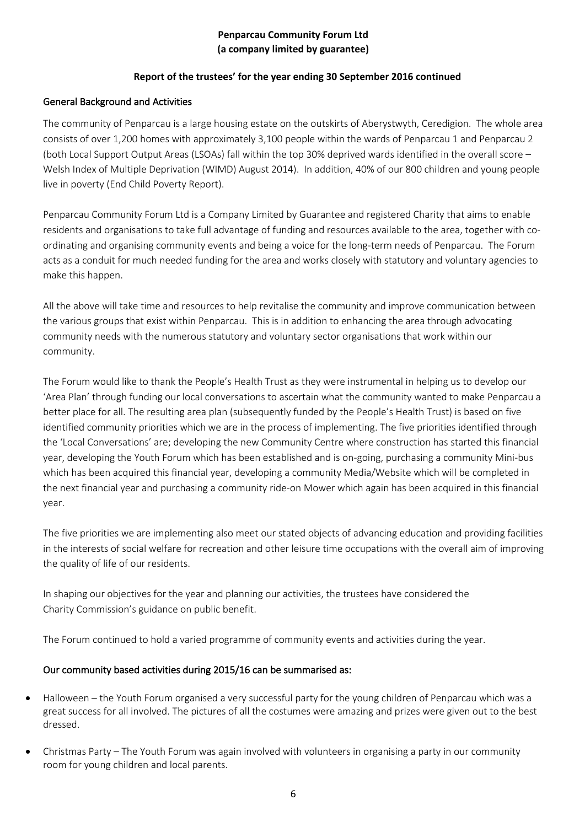# **Report of the trustees' for the year ending 30 September 2016 continued**

# General Background and Activities

The community of Penparcau is a large housing estate on the outskirts of Aberystwyth, Ceredigion. The whole area consists of over 1,200 homes with approximately 3,100 people within the wards of Penparcau 1 and Penparcau 2 (both Local Support Output Areas (LSOAs) fall within the top 30% deprived wards identified in the overall score – Welsh Index of Multiple Deprivation (WIMD) August 2014). In addition, 40% of our 800 children and young people live in poverty (End Child Poverty Report).

Penparcau Community Forum Ltd is a Company Limited by Guarantee and registered Charity that aims to enable residents and organisations to take full advantage of funding and resources available to the area, together with coordinating and organising community events and being a voice for the long-term needs of Penparcau. The Forum acts as a conduit for much needed funding for the area and works closely with statutory and voluntary agencies to make this happen.

All the above will take time and resources to help revitalise the community and improve communication between the various groups that exist within Penparcau. This is in addition to enhancing the area through advocating community needs with the numerous statutory and voluntary sector organisations that work within our community.

The Forum would like to thank the People's Health Trust as they were instrumental in helping us to develop our 'Area Plan' through funding our local conversations to ascertain what the community wanted to make Penparcau a better place for all. The resulting area plan (subsequently funded by the People's Health Trust) is based on five identified community priorities which we are in the process of implementing. The five priorities identified through the 'Local Conversations' are; developing the new Community Centre where construction has started this financial year, developing the Youth Forum which has been established and is on-going, purchasing a community Mini-bus which has been acquired this financial year, developing a community Media/Website which will be completed in the next financial year and purchasing a community ride-on Mower which again has been acquired in this financial year.

The five priorities we are implementing also meet our stated objects of advancing education and providing facilities in the interests of social welfare for recreation and other leisure time occupations with the overall aim of improving the quality of life of our residents.

In shaping our objectives for the year and planning our activities, the trustees have considered the Charity Commission's guidance on public benefit.

The Forum continued to hold a varied programme of community events and activities during the year.

# Our community based activities during 2015/16 can be summarised as:

- Halloween the Youth Forum organised a very successful party for the young children of Penparcau which was a great success for all involved. The pictures of all the costumes were amazing and prizes were given out to the best dressed.
- Christmas Party The Youth Forum was again involved with volunteers in organising a party in our community room for young children and local parents.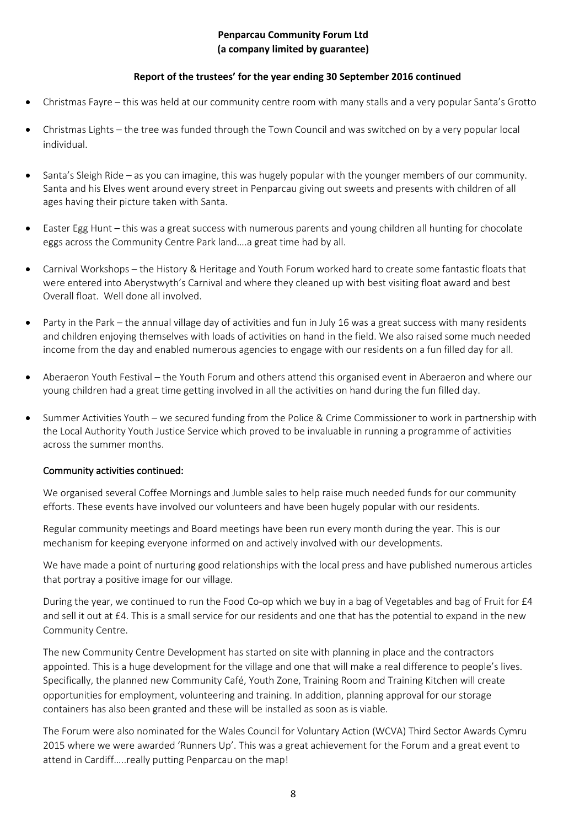#### **Report of the trustees' for the year ending 30 September 2016 continued**

- Christmas Fayre this was held at our community centre room with many stalls and a very popular Santa's Grotto
- Christmas Lights the tree was funded through the Town Council and was switched on by a very popular local individual.
- Santa's Sleigh Ride as you can imagine, this was hugely popular with the younger members of our community. Santa and his Elves went around every street in Penparcau giving out sweets and presents with children of all ages having their picture taken with Santa.
- Easter Egg Hunt this was a great success with numerous parents and young children all hunting for chocolate eggs across the Community Centre Park land….a great time had by all.
- Carnival Workshops the History & Heritage and Youth Forum worked hard to create some fantastic floats that were entered into Aberystwyth's Carnival and where they cleaned up with best visiting float award and best Overall float. Well done all involved.
- Party in the Park the annual village day of activities and fun in July 16 was a great success with many residents and children enjoying themselves with loads of activities on hand in the field. We also raised some much needed income from the day and enabled numerous agencies to engage with our residents on a fun filled day for all.
- Aberaeron Youth Festival the Youth Forum and others attend this organised event in Aberaeron and where our young children had a great time getting involved in all the activities on hand during the fun filled day.
- Summer Activities Youth we secured funding from the Police & Crime Commissioner to work in partnership with the Local Authority Youth Justice Service which proved to be invaluable in running a programme of activities across the summer months.

#### Community activities continued:

We organised several Coffee Mornings and Jumble sales to help raise much needed funds for our community efforts. These events have involved our volunteers and have been hugely popular with our residents.

Regular community meetings and Board meetings have been run every month during the year. This is our mechanism for keeping everyone informed on and actively involved with our developments.

We have made a point of nurturing good relationships with the local press and have published numerous articles that portray a positive image for our village.

During the year, we continued to run the Food Co-op which we buy in a bag of Vegetables and bag of Fruit for £4 and sell it out at £4. This is a small service for our residents and one that has the potential to expand in the new Community Centre.

The new Community Centre Development has started on site with planning in place and the contractors appointed. This is a huge development for the village and one that will make a real difference to people's lives. Specifically, the planned new Community Café, Youth Zone, Training Room and Training Kitchen will create opportunities for employment, volunteering and training. In addition, planning approval for our storage containers has also been granted and these will be installed as soon as is viable.

The Forum were also nominated for the Wales Council for Voluntary Action (WCVA) Third Sector Awards Cymru 2015 where we were awarded 'Runners Up'. This was a great achievement for the Forum and a great event to attend in Cardiff…..really putting Penparcau on the map!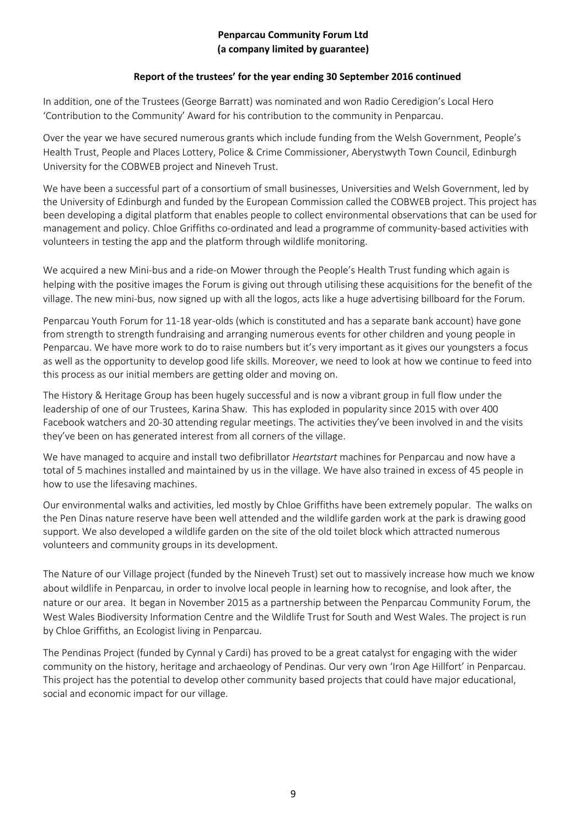# **Report of the trustees' for the year ending 30 September 2016 continued**

In addition, one of the Trustees (George Barratt) was nominated and won Radio Ceredigion's Local Hero 'Contribution to the Community' Award for his contribution to the community in Penparcau.

Over the year we have secured numerous grants which include funding from the Welsh Government, People's Health Trust, People and Places Lottery, Police & Crime Commissioner, Aberystwyth Town Council, Edinburgh University for the COBWEB project and Nineveh Trust.

We have been a successful part of a consortium of small businesses, Universities and Welsh Government, led by the University of Edinburgh and funded by the European Commission called the COBWEB project. This project has been developing a digital platform that enables people to collect environmental observations that can be used for management and policy. Chloe Griffiths co-ordinated and lead a programme of community-based activities with volunteers in testing the app and the platform through wildlife monitoring.

We acquired a new Mini-bus and a ride-on Mower through the People's Health Trust funding which again is helping with the positive images the Forum is giving out through utilising these acquisitions for the benefit of the village. The new mini-bus, now signed up with all the logos, acts like a huge advertising billboard for the Forum.

Penparcau Youth Forum for 11-18 year-olds (which is constituted and has a separate bank account) have gone from strength to strength fundraising and arranging numerous events for other children and young people in Penparcau. We have more work to do to raise numbers but it's very important as it gives our youngsters a focus as well as the opportunity to develop good life skills. Moreover, we need to look at how we continue to feed into this process as our initial members are getting older and moving on.

The History & Heritage Group has been hugely successful and is now a vibrant group in full flow under the leadership of one of our Trustees, Karina Shaw. This has exploded in popularity since 2015 with over 400 Facebook watchers and 20-30 attending regular meetings. The activities they've been involved in and the visits they've been on has generated interest from all corners of the village.

We have managed to acquire and install two defibrillator *Heartstart* machines for Penparcau and now have a total of 5 machines installed and maintained by us in the village. We have also trained in excess of 45 people in how to use the lifesaving machines.

Our environmental walks and activities, led mostly by Chloe Griffiths have been extremely popular. The walks on the Pen Dinas nature reserve have been well attended and the wildlife garden work at the park is drawing good support. We also developed a wildlife garden on the site of the old toilet block which attracted numerous volunteers and community groups in its development.

The Nature of our Village project (funded by the Nineveh Trust) set out to massively increase how much we know about wildlife in Penparcau, in order to involve local people in learning how to recognise, and look after, the nature or our area. It began in November 2015 as a partnership between the Penparcau Community Forum, the West Wales Biodiversity Information Centre and the Wildlife Trust for South and West Wales. The project is run by Chloe Griffiths, an Ecologist living in Penparcau.

The Pendinas Project (funded by Cynnal y Cardi) has proved to be a great catalyst for engaging with the wider community on the history, heritage and archaeology of Pendinas. Our very own 'Iron Age Hillfort' in Penparcau. This project has the potential to develop other community based projects that could have major educational, social and economic impact for our village.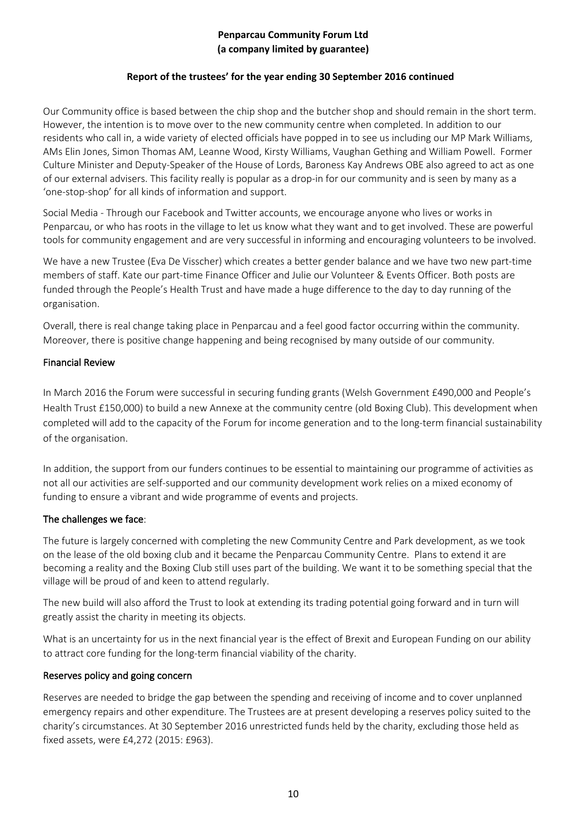# **Report of the trustees' for the year ending 30 September 2016 continued**

Our Community office is based between the chip shop and the butcher shop and should remain in the short term. However, the intention is to move over to the new community centre when completed. In addition to our residents who call in, a wide variety of elected officials have popped in to see us including our MP Mark Williams, AMs Elin Jones, Simon Thomas AM, Leanne Wood, Kirsty Williams, Vaughan Gething and William Powell. Former Culture Minister and Deputy-Speaker of the House of Lords, Baroness Kay Andrews OBE also agreed to act as one of our external advisers. This facility really is popular as a drop-in for our community and is seen by many as a 'one-stop-shop' for all kinds of information and support.

Social Media - Through our Facebook and Twitter accounts, we encourage anyone who lives or works in Penparcau, or who has roots in the village to let us know what they want and to get involved. These are powerful tools for community engagement and are very successful in informing and encouraging volunteers to be involved.

We have a new Trustee (Eva De Visscher) which creates a better gender balance and we have two new part-time members of staff. Kate our part-time Finance Officer and Julie our Volunteer & Events Officer. Both posts are funded through the People's Health Trust and have made a huge difference to the day to day running of the organisation.

Overall, there is real change taking place in Penparcau and a feel good factor occurring within the community. Moreover, there is positive change happening and being recognised by many outside of our community.

# Financial Review

In March 2016 the Forum were successful in securing funding grants (Welsh Government £490,000 and People's Health Trust £150,000) to build a new Annexe at the community centre (old Boxing Club). This development when completed will add to the capacity of the Forum for income generation and to the long-term financial sustainability of the organisation.

In addition, the support from our funders continues to be essential to maintaining our programme of activities as not all our activities are self-supported and our community development work relies on a mixed economy of funding to ensure a vibrant and wide programme of events and projects.

# The challenges we face:

The future is largely concerned with completing the new Community Centre and Park development, as we took on the lease of the old boxing club and it became the Penparcau Community Centre. Plans to extend it are becoming a reality and the Boxing Club still uses part of the building. We want it to be something special that the village will be proud of and keen to attend regularly.

The new build will also afford the Trust to look at extending its trading potential going forward and in turn will greatly assist the charity in meeting its objects.

What is an uncertainty for us in the next financial year is the effect of Brexit and European Funding on our ability to attract core funding for the long-term financial viability of the charity.

#### Reserves policy and going concern

Reserves are needed to bridge the gap between the spending and receiving of income and to cover unplanned emergency repairs and other expenditure. The Trustees are at present developing a reserves policy suited to the charity's circumstances. At 30 September 2016 unrestricted funds held by the charity, excluding those held as fixed assets, were £4,272 (2015: £963).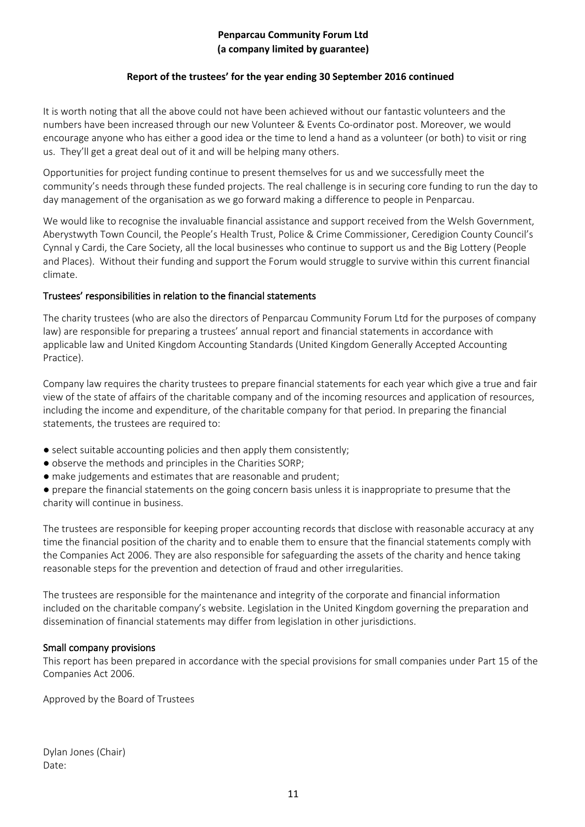#### **Report of the trustees' for the year ending 30 September 2016 continued**

It is worth noting that all the above could not have been achieved without our fantastic volunteers and the numbers have been increased through our new Volunteer & Events Co-ordinator post. Moreover, we would encourage anyone who has either a good idea or the time to lend a hand as a volunteer (or both) to visit or ring us. They'll get a great deal out of it and will be helping many others.

Opportunities for project funding continue to present themselves for us and we successfully meet the community's needs through these funded projects. The real challenge is in securing core funding to run the day to day management of the organisation as we go forward making a difference to people in Penparcau.

We would like to recognise the invaluable financial assistance and support received from the Welsh Government, Aberystwyth Town Council, the People's Health Trust, Police & Crime Commissioner, Ceredigion County Council's Cynnal y Cardi, the Care Society, all the local businesses who continue to support us and the Big Lottery (People and Places). Without their funding and support the Forum would struggle to survive within this current financial climate.

#### Trustees' responsibilities in relation to the financial statements

The charity trustees (who are also the directors of Penparcau Community Forum Ltd for the purposes of company law) are responsible for preparing a trustees' annual report and financial statements in accordance with applicable law and United Kingdom Accounting Standards (United Kingdom Generally Accepted Accounting Practice).

Company law requires the charity trustees to prepare financial statements for each year which give a true and fair view of the state of affairs of the charitable company and of the incoming resources and application of resources, including the income and expenditure, of the charitable company for that period. In preparing the financial statements, the trustees are required to:

- select suitable accounting policies and then apply them consistently;
- observe the methods and principles in the Charities SORP;
- make judgements and estimates that are reasonable and prudent;

● prepare the financial statements on the going concern basis unless it is inappropriate to presume that the charity will continue in business.

The trustees are responsible for keeping proper accounting records that disclose with reasonable accuracy at any time the financial position of the charity and to enable them to ensure that the financial statements comply with the Companies Act 2006. They are also responsible for safeguarding the assets of the charity and hence taking reasonable steps for the prevention and detection of fraud and other irregularities.

The trustees are responsible for the maintenance and integrity of the corporate and financial information included on the charitable company's website. Legislation in the United Kingdom governing the preparation and dissemination of financial statements may differ from legislation in other jurisdictions.

#### Small company provisions

This report has been prepared in accordance with the special provisions for small companies under Part 15 of the Companies Act 2006.

Approved by the Board of Trustees

Dylan Jones (Chair) Date: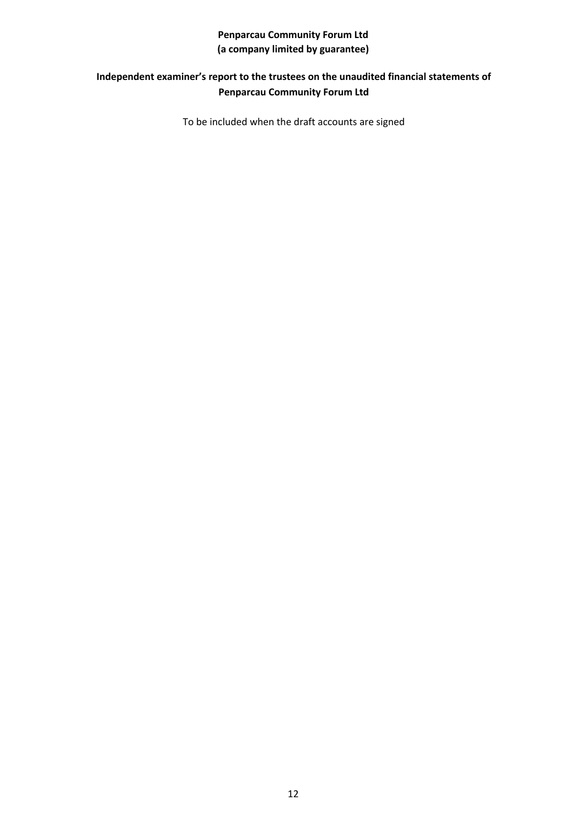# **Independent examiner's report to the trustees on the unaudited financial statements of Penparcau Community Forum Ltd**

To be included when the draft accounts are signed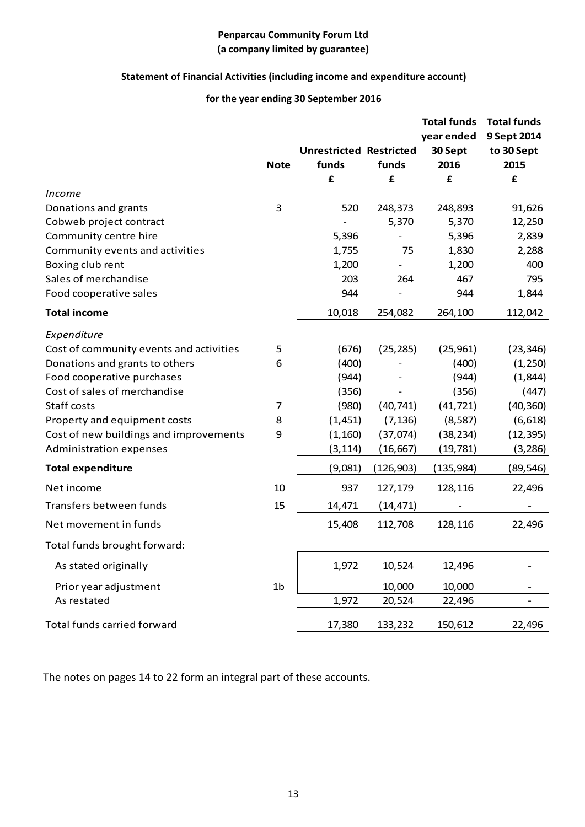# **Statement of Financial Activities (including income and expenditure account)**

# **for the year ending 30 September 2016**

|                                         |                |                                |           | <b>Total funds</b> | <b>Total funds</b> |
|-----------------------------------------|----------------|--------------------------------|-----------|--------------------|--------------------|
|                                         |                |                                |           | year ended         | 9 Sept 2014        |
|                                         |                | <b>Unrestricted Restricted</b> |           | 30 Sept            | to 30 Sept         |
|                                         | <b>Note</b>    | funds                          | funds     | 2016               | 2015               |
|                                         |                | £                              | £         | £                  | £                  |
| <i>Income</i>                           |                |                                |           |                    |                    |
| Donations and grants                    | 3              | 520                            | 248,373   | 248,893            | 91,626             |
| Cobweb project contract                 |                |                                | 5,370     | 5,370              | 12,250             |
| Community centre hire                   |                | 5,396                          |           | 5,396              | 2,839              |
| Community events and activities         |                | 1,755                          | 75        | 1,830              | 2,288              |
| Boxing club rent                        |                | 1,200                          |           | 1,200              | 400                |
| Sales of merchandise                    |                | 203                            | 264       | 467                | 795                |
| Food cooperative sales                  |                | 944                            |           | 944                | 1,844              |
| <b>Total income</b>                     |                | 10,018                         | 254,082   | 264,100            | 112,042            |
| Expenditure                             |                |                                |           |                    |                    |
| Cost of community events and activities | 5              | (676)                          | (25, 285) | (25, 961)          | (23, 346)          |
| Donations and grants to others          | 6              | (400)                          |           | (400)              | (1,250)            |
| Food cooperative purchases              |                | (944)                          |           | (944)              | (1,844)            |
| Cost of sales of merchandise            |                | (356)                          |           | (356)              | (447)              |
| Staff costs                             | $\overline{7}$ | (980)                          | (40, 741) | (41, 721)          | (40, 360)          |
| Property and equipment costs            | 8              | (1,451)                        | (7, 136)  | (8, 587)           | (6, 618)           |
| Cost of new buildings and improvements  | 9              | (1, 160)                       | (37,074)  | (38, 234)          | (12, 395)          |
| Administration expenses                 |                | (3, 114)                       | (16, 667) | (19,781)           | (3,286)            |
| <b>Total expenditure</b>                |                | (9,081)                        | (126,903) | (135,984)          | (89,546)           |
| Net income                              | 10             | 937                            | 127,179   | 128,116            | 22,496             |
| Transfers between funds                 | 15             | 14,471                         | (14, 471) |                    |                    |
| Net movement in funds                   |                | 15,408                         | 112,708   | 128,116            | 22,496             |
| Total funds brought forward:            |                |                                |           |                    |                    |
| As stated originally                    |                | 1,972                          | 10,524    | 12,496             |                    |
| Prior year adjustment                   | 1 <sub>b</sub> |                                | 10,000    | 10,000             |                    |
| As restated                             |                | 1,972                          | 20,524    | 22,496             |                    |
| Total funds carried forward             |                | 17,380                         | 133,232   | 150,612            | 22,496             |
|                                         |                |                                |           |                    |                    |

The notes on pages 14 to 22 form an integral part of these accounts.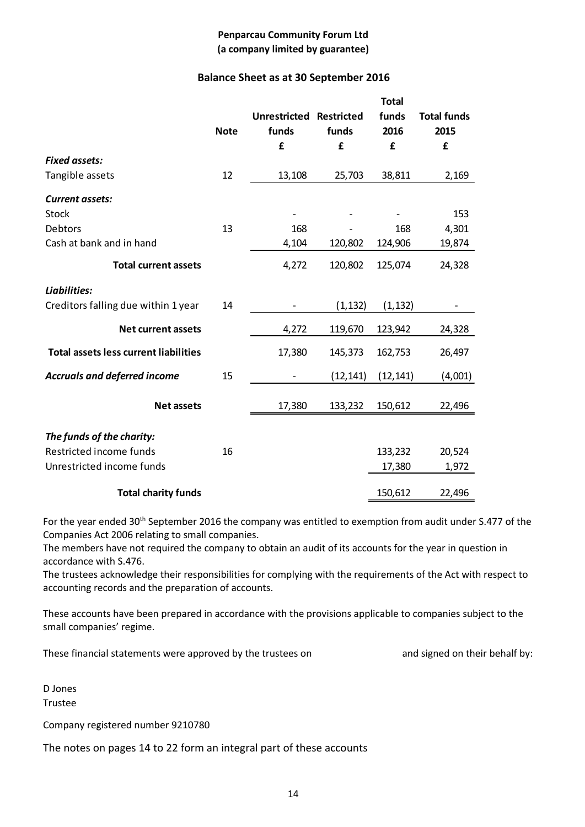# **Balance Sheet as at 30 September 2016**

|                                              |             |                                |           | <b>Total</b> |                    |
|----------------------------------------------|-------------|--------------------------------|-----------|--------------|--------------------|
|                                              |             | <b>Unrestricted Restricted</b> |           | funds        | <b>Total funds</b> |
|                                              | <b>Note</b> | funds                          | funds     | 2016         | 2015               |
|                                              |             | £                              | £         | £            | £                  |
| <b>Fixed assets:</b>                         |             |                                |           |              |                    |
| Tangible assets                              | 12          | 13,108                         | 25,703    | 38,811       | 2,169              |
| <b>Current assets:</b>                       |             |                                |           |              |                    |
| <b>Stock</b>                                 |             |                                |           |              | 153                |
| Debtors                                      | 13          | 168                            |           | 168          | 4,301              |
| Cash at bank and in hand                     |             | 4,104                          | 120,802   | 124,906      | 19,874             |
| <b>Total current assets</b>                  |             | 4,272                          | 120,802   | 125,074      | 24,328             |
| Liabilities:                                 |             |                                |           |              |                    |
| Creditors falling due within 1 year          | 14          |                                | (1, 132)  | (1, 132)     |                    |
| <b>Net current assets</b>                    |             | 4,272                          | 119,670   | 123,942      | 24,328             |
| <b>Total assets less current liabilities</b> |             | 17,380                         | 145,373   | 162,753      | 26,497             |
| <b>Accruals and deferred income</b>          | 15          |                                | (12, 141) | (12, 141)    | (4,001)            |
| <b>Net assets</b>                            |             | 17,380                         | 133,232   | 150,612      | 22,496             |
|                                              |             |                                |           |              |                    |
| The funds of the charity:                    |             |                                |           |              |                    |
| Restricted income funds                      | 16          |                                |           | 133,232      | 20,524             |
| Unrestricted income funds                    |             |                                |           | 17,380       | 1,972              |
| <b>Total charity funds</b>                   |             |                                |           | 150,612      | 22,496             |

For the year ended 30<sup>th</sup> September 2016 the company was entitled to exemption from audit under S.477 of the Companies Act 2006 relating to small companies.

The members have not required the company to obtain an audit of its accounts for the year in question in accordance with S.476.

The trustees acknowledge their responsibilities for complying with the requirements of the Act with respect to accounting records and the preparation of accounts.

These accounts have been prepared in accordance with the provisions applicable to companies subject to the small companies' regime.

These financial statements were approved by the trustees on and signed on their behalf by:

D Jones Trustee

Company registered number 9210780

The notes on pages 14 to 22 form an integral part of these accounts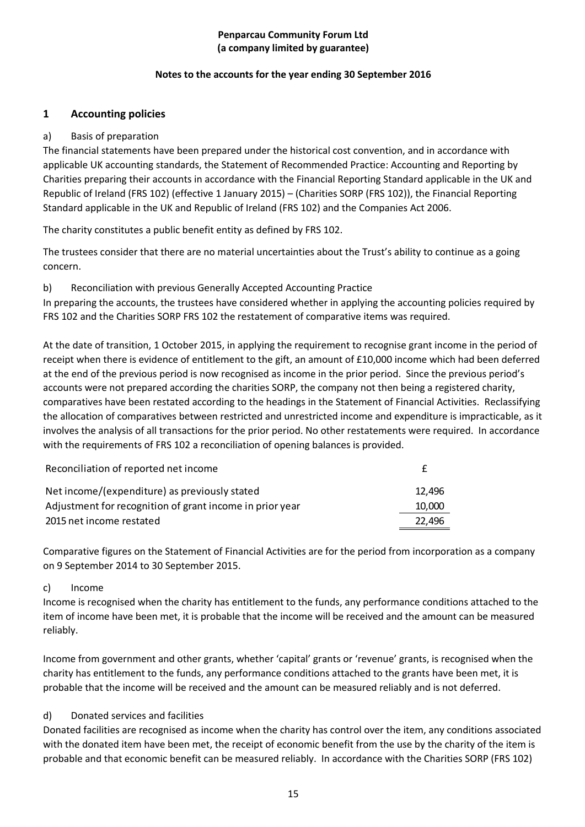# **Notes to the accounts for the year ending 30 September 2016**

# **1 Accounting policies**

# a) Basis of preparation

The financial statements have been prepared under the historical cost convention, and in accordance with applicable UK accounting standards, the Statement of Recommended Practice: Accounting and Reporting by Charities preparing their accounts in accordance with the Financial Reporting Standard applicable in the UK and Republic of Ireland (FRS 102) (effective 1 January 2015) – (Charities SORP (FRS 102)), the Financial Reporting Standard applicable in the UK and Republic of Ireland (FRS 102) and the Companies Act 2006.

The charity constitutes a public benefit entity as defined by FRS 102.

The trustees consider that there are no material uncertainties about the Trust's ability to continue as a going concern.

# b) Reconciliation with previous Generally Accepted Accounting Practice

In preparing the accounts, the trustees have considered whether in applying the accounting policies required by FRS 102 and the Charities SORP FRS 102 the restatement of comparative items was required.

At the date of transition, 1 October 2015, in applying the requirement to recognise grant income in the period of receipt when there is evidence of entitlement to the gift, an amount of £10,000 income which had been deferred at the end of the previous period is now recognised as income in the prior period. Since the previous period's accounts were not prepared according the charities SORP, the company not then being a registered charity, comparatives have been restated according to the headings in the Statement of Financial Activities. Reclassifying the allocation of comparatives between restricted and unrestricted income and expenditure is impracticable, as it involves the analysis of all transactions for the prior period. No other restatements were required. In accordance with the requirements of FRS 102 a reconciliation of opening balances is provided.

| Reconciliation of reported net income                    |        |
|----------------------------------------------------------|--------|
| Net income/(expenditure) as previously stated            | 12.496 |
| Adjustment for recognition of grant income in prior year | 10,000 |
| 2015 net income restated                                 | 22.496 |

Comparative figures on the Statement of Financial Activities are for the period from incorporation as a company on 9 September 2014 to 30 September 2015.

# c) Income

Income is recognised when the charity has entitlement to the funds, any performance conditions attached to the item of income have been met, it is probable that the income will be received and the amount can be measured reliably.

Income from government and other grants, whether 'capital' grants or 'revenue' grants, is recognised when the charity has entitlement to the funds, any performance conditions attached to the grants have been met, it is probable that the income will be received and the amount can be measured reliably and is not deferred.

# d) Donated services and facilities

Donated facilities are recognised as income when the charity has control over the item, any conditions associated with the donated item have been met, the receipt of economic benefit from the use by the charity of the item is probable and that economic benefit can be measured reliably. In accordance with the Charities SORP (FRS 102)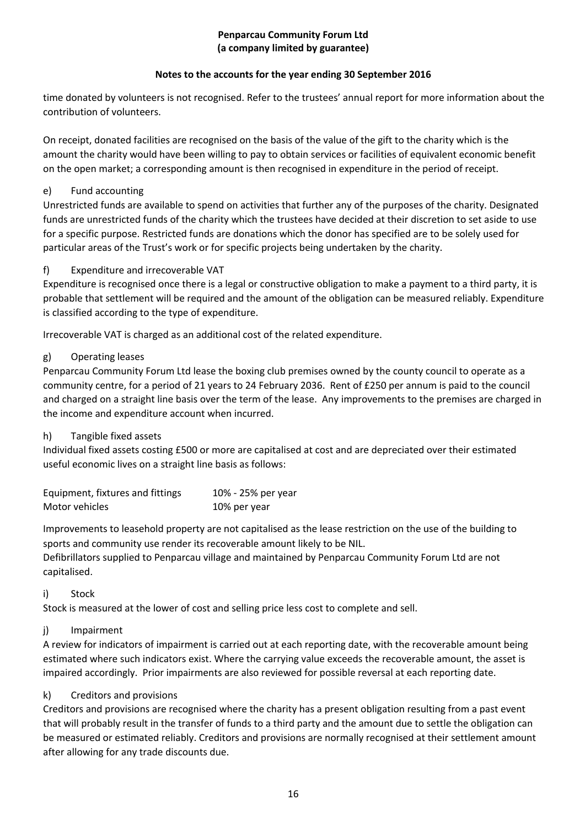# **Notes to the accounts for the year ending 30 September 2016**

time donated by volunteers is not recognised. Refer to the trustees' annual report for more information about the contribution of volunteers.

On receipt, donated facilities are recognised on the basis of the value of the gift to the charity which is the amount the charity would have been willing to pay to obtain services or facilities of equivalent economic benefit on the open market; a corresponding amount is then recognised in expenditure in the period of receipt.

# e) Fund accounting

Unrestricted funds are available to spend on activities that further any of the purposes of the charity. Designated funds are unrestricted funds of the charity which the trustees have decided at their discretion to set aside to use for a specific purpose. Restricted funds are donations which the donor has specified are to be solely used for particular areas of the Trust's work or for specific projects being undertaken by the charity.

# f) Expenditure and irrecoverable VAT

Expenditure is recognised once there is a legal or constructive obligation to make a payment to a third party, it is probable that settlement will be required and the amount of the obligation can be measured reliably. Expenditure is classified according to the type of expenditure.

Irrecoverable VAT is charged as an additional cost of the related expenditure.

# g) Operating leases

Penparcau Community Forum Ltd lease the boxing club premises owned by the county council to operate as a community centre, for a period of 21 years to 24 February 2036. Rent of £250 per annum is paid to the council and charged on a straight line basis over the term of the lease. Any improvements to the premises are charged in the income and expenditure account when incurred.

# h) Tangible fixed assets

Individual fixed assets costing £500 or more are capitalised at cost and are depreciated over their estimated useful economic lives on a straight line basis as follows:

| Equipment, fixtures and fittings | 10% - 25% per year |
|----------------------------------|--------------------|
| Motor vehicles                   | 10% per year       |

Improvements to leasehold property are not capitalised as the lease restriction on the use of the building to sports and community use render its recoverable amount likely to be NIL.

Defibrillators supplied to Penparcau village and maintained by Penparcau Community Forum Ltd are not capitalised.

# i) Stock

Stock is measured at the lower of cost and selling price less cost to complete and sell.

# j) Impairment

A review for indicators of impairment is carried out at each reporting date, with the recoverable amount being estimated where such indicators exist. Where the carrying value exceeds the recoverable amount, the asset is impaired accordingly. Prior impairments are also reviewed for possible reversal at each reporting date.

# k) Creditors and provisions

Creditors and provisions are recognised where the charity has a present obligation resulting from a past event that will probably result in the transfer of funds to a third party and the amount due to settle the obligation can be measured or estimated reliably. Creditors and provisions are normally recognised at their settlement amount after allowing for any trade discounts due.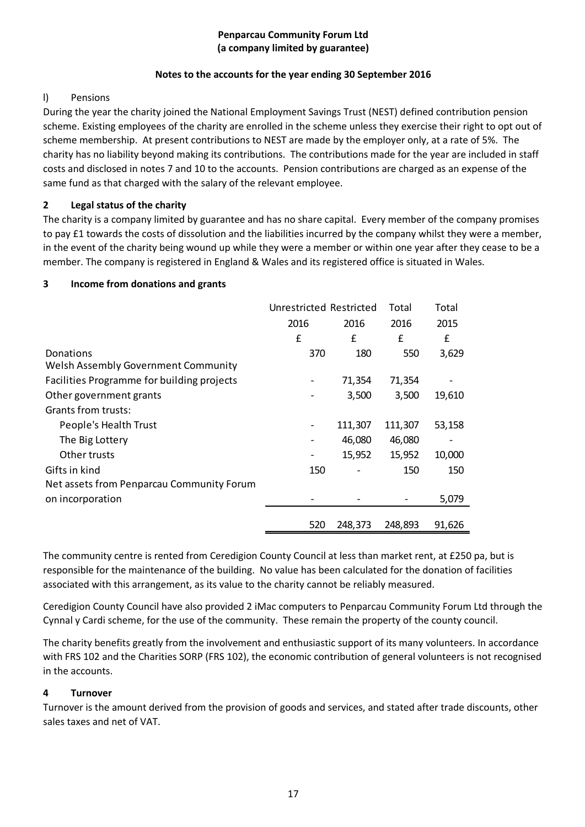# **Notes to the accounts for the year ending 30 September 2016**

# l) Pensions

During the year the charity joined the National Employment Savings Trust (NEST) defined contribution pension scheme. Existing employees of the charity are enrolled in the scheme unless they exercise their right to opt out of scheme membership. At present contributions to NEST are made by the employer only, at a rate of 5%. The charity has no liability beyond making its contributions. The contributions made for the year are included in staff costs and disclosed in notes 7 and 10 to the accounts. Pension contributions are charged as an expense of the same fund as that charged with the salary of the relevant employee.

# **2 Legal status of the charity**

The charity is a company limited by guarantee and has no share capital. Every member of the company promises to pay £1 towards the costs of dissolution and the liabilities incurred by the company whilst they were a member, in the event of the charity being wound up while they were a member or within one year after they cease to be a member. The company is registered in England & Wales and its registered office is situated in Wales.

# **3 Income from donations and grants**

|                                            | Unrestricted Restricted |         | Total   | Total  |
|--------------------------------------------|-------------------------|---------|---------|--------|
|                                            | 2016                    | 2016    | 2016    | 2015   |
|                                            | £                       | £       | £       | £      |
| Donations                                  | 370                     | 180     | 550     | 3,629  |
| Welsh Assembly Government Community        |                         |         |         |        |
| Facilities Programme for building projects |                         | 71,354  | 71,354  |        |
| Other government grants                    |                         | 3,500   | 3,500   | 19,610 |
| Grants from trusts:                        |                         |         |         |        |
| People's Health Trust                      |                         | 111,307 | 111,307 | 53,158 |
| The Big Lottery                            |                         | 46,080  | 46,080  |        |
| Other trusts                               |                         | 15,952  | 15,952  | 10,000 |
| Gifts in kind                              | 150                     |         | 150     | 150    |
| Net assets from Penparcau Community Forum  |                         |         |         |        |
| on incorporation                           |                         |         |         | 5,079  |
|                                            |                         |         |         |        |
|                                            | 520                     | 248,373 | 248,893 | 91,626 |

The community centre is rented from Ceredigion County Council at less than market rent, at £250 pa, but is responsible for the maintenance of the building. No value has been calculated for the donation of facilities associated with this arrangement, as its value to the charity cannot be reliably measured.

Ceredigion County Council have also provided 2 iMac computers to Penparcau Community Forum Ltd through the Cynnal y Cardi scheme, for the use of the community. These remain the property of the county council.

The charity benefits greatly from the involvement and enthusiastic support of its many volunteers. In accordance with FRS 102 and the Charities SORP (FRS 102), the economic contribution of general volunteers is not recognised in the accounts.

# **4 Turnover**

Turnover is the amount derived from the provision of goods and services, and stated after trade discounts, other sales taxes and net of VAT.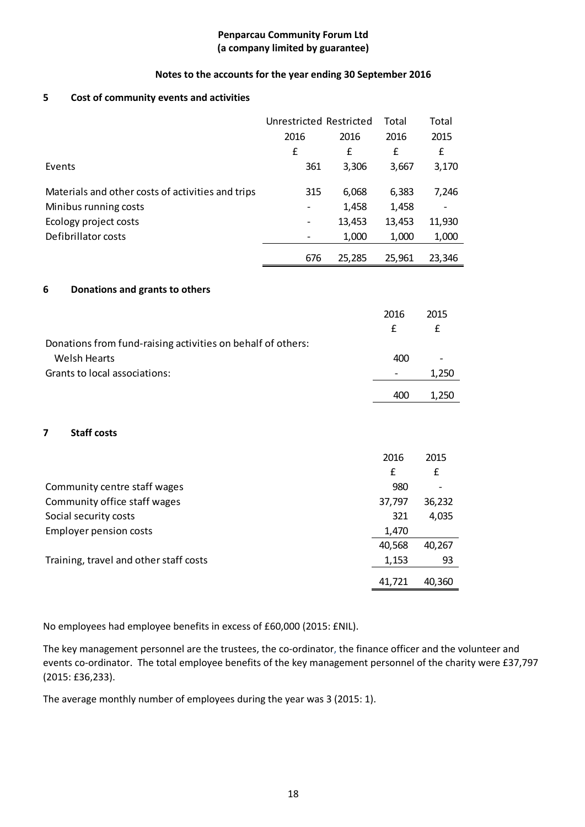#### **Notes to the accounts for the year ending 30 September 2016**

#### **5 Cost of community events and activities**

|                                                   | Unrestricted Restricted |        | Total  | Total  |
|---------------------------------------------------|-------------------------|--------|--------|--------|
|                                                   | 2016<br>2016            |        | 2016   | 2015   |
|                                                   | £                       | £      | £      | £      |
| Events                                            | 361                     | 3,306  | 3,667  | 3,170  |
| Materials and other costs of activities and trips | 315                     | 6,068  | 6,383  | 7,246  |
| Minibus running costs                             | -                       | 1,458  | 1,458  |        |
| Ecology project costs                             |                         | 13,453 | 13,453 | 11,930 |
| Defibrillator costs                               |                         | 1,000  | 1,000  | 1,000  |
|                                                   | 676                     | 25,285 | 25,961 | 23,346 |

#### **6 Donations and grants to others**

|                                                             | 2016                     | 2015  |
|-------------------------------------------------------------|--------------------------|-------|
|                                                             | f                        | f     |
| Donations from fund-raising activities on behalf of others: |                          |       |
| Welsh Hearts                                                | 400                      | -     |
| Grants to local associations:                               | $\overline{\phantom{a}}$ | 1.250 |
|                                                             | 400                      | 1.250 |

#### **7 Staff costs**

|                                        | 2016   | 2015            |
|----------------------------------------|--------|-----------------|
|                                        | £      | £               |
| Community centre staff wages           | 980    | $\qquad \qquad$ |
| Community office staff wages           | 37,797 | 36,232          |
| Social security costs                  | 321    | 4,035           |
| <b>Employer pension costs</b>          | 1,470  |                 |
|                                        | 40,568 | 40,267          |
| Training, travel and other staff costs | 1,153  | 93              |
|                                        | 41,721 | 40,360          |

No employees had employee benefits in excess of £60,000 (2015: £NIL).

The key management personnel are the trustees, the co-ordinator, the finance officer and the volunteer and events co-ordinator. The total employee benefits of the key management personnel of the charity were £37,797 (2015: £36,233).

The average monthly number of employees during the year was 3 (2015: 1).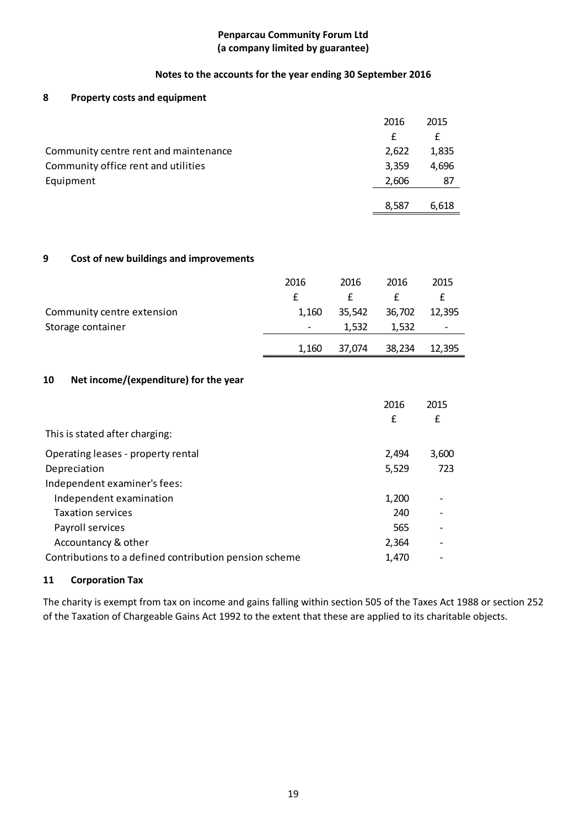# **Notes to the accounts for the year ending 30 September 2016**

# **8 Property costs and equipment**

|                                       | 2016  | 2015  |
|---------------------------------------|-------|-------|
|                                       | f     | £     |
| Community centre rent and maintenance | 2,622 | 1,835 |
| Community office rent and utilities   | 3,359 | 4.696 |
| Equipment                             | 2,606 | 87    |
|                                       | 8.587 | 6.618 |

# **9 Cost of new buildings and improvements**

|                            | 2016                     | 2016   | 2016   | 2015                     |
|----------------------------|--------------------------|--------|--------|--------------------------|
|                            |                          |        |        |                          |
| Community centre extension | 1.160                    | 35,542 | 36,702 | 12,395                   |
| Storage container          | $\overline{\phantom{a}}$ | 1.532  | 1.532  | $\overline{\phantom{a}}$ |
|                            | 1,160                    | 37,074 | 38,234 | 12,395                   |

# **10 Net income/(expenditure) for the year**

|                                                        | 2016<br>£ | 2015<br>£ |
|--------------------------------------------------------|-----------|-----------|
| This is stated after charging:                         |           |           |
| Operating leases - property rental                     | 2,494     | 3,600     |
| Depreciation                                           | 5,529     | 723       |
| Independent examiner's fees:                           |           |           |
| Independent examination                                | 1,200     |           |
| <b>Taxation services</b>                               | 240       |           |
| Payroll services                                       | 565       |           |
| Accountancy & other                                    | 2,364     |           |
| Contributions to a defined contribution pension scheme | 1,470     |           |

# **11 Corporation Tax**

The charity is exempt from tax on income and gains falling within section 505 of the Taxes Act 1988 or section 252 of the Taxation of Chargeable Gains Act 1992 to the extent that these are applied to its charitable objects.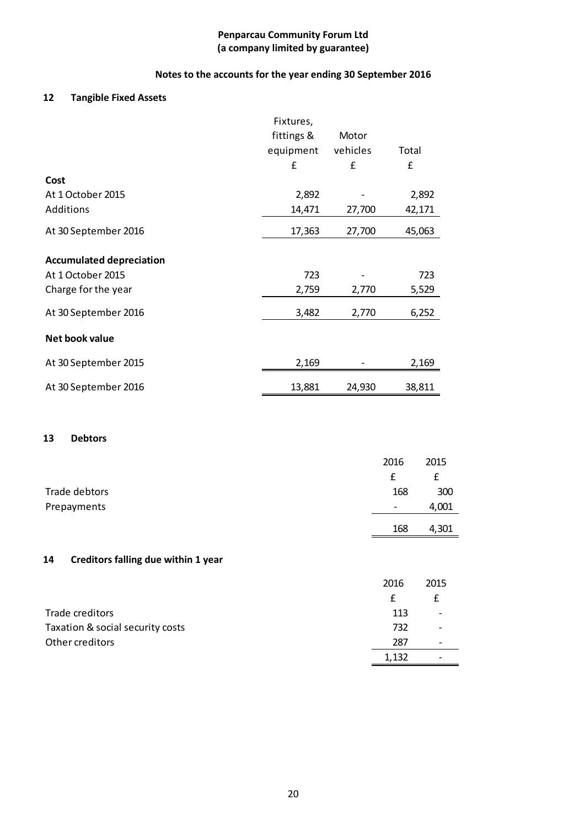# **Notes to the accounts for the year ending 30 September 2016**

# **12 Tangible Fixed Assets**

|                                 | Fixtures,  |          |        |
|---------------------------------|------------|----------|--------|
|                                 | fittings & | Motor    |        |
|                                 | equipment  | vehicles | Total  |
|                                 | £          | £        | £      |
| Cost                            |            |          |        |
| At 1 October 2015               | 2,892      |          | 2,892  |
| Additions                       | 14,471     | 27,700   | 42,171 |
| At 30 September 2016            | 17,363     | 27,700   | 45,063 |
|                                 |            |          |        |
| <b>Accumulated depreciation</b> |            |          |        |
| At 1 October 2015               | 723        |          | 723    |
| Charge for the year             | 2,759      | 2,770    | 5,529  |
| At 30 September 2016            | 3,482      | 2,770    | 6,252  |
| Net book value                  |            |          |        |
| At 30 September 2015            | 2,169      |          | 2,169  |
| At 30 September 2016            | 13,881     | 24,930   | 38,811 |

#### **13 Debtors**

|               | 2016                     | 2015  |
|---------------|--------------------------|-------|
|               | £                        |       |
| Trade debtors | 168                      | 300   |
| Prepayments   | $\overline{\phantom{0}}$ | 4,001 |
|               | 168                      | 4,301 |

# **14 Creditors falling due within 1 year**

|                                  | 2016  | 2015                         |
|----------------------------------|-------|------------------------------|
|                                  |       |                              |
| Trade creditors                  | 113   | -                            |
| Taxation & social security costs | 732   | $\qquad \qquad \blacksquare$ |
| Other creditors                  | 287   | $\overline{\phantom{0}}$     |
|                                  | 1,132 | -                            |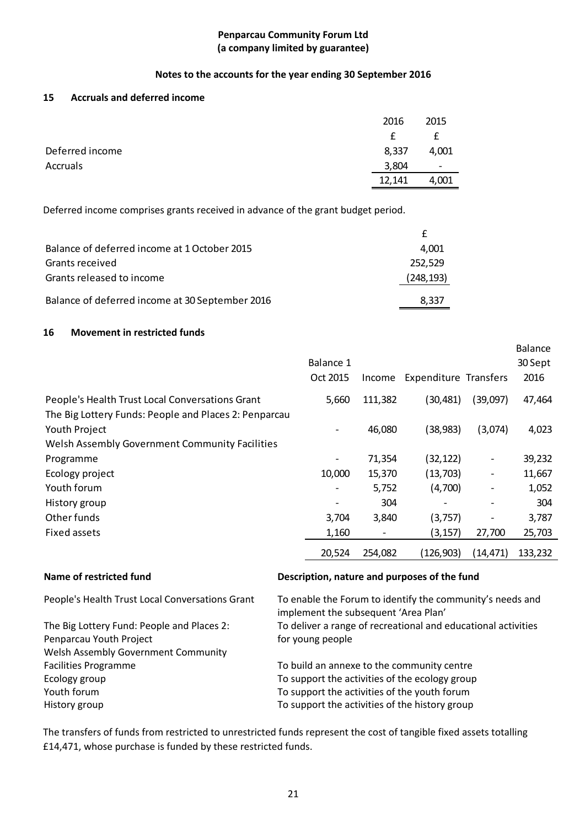# **Notes to the accounts for the year ending 30 September 2016**

## **15 Accruals and deferred income**

|                 | 2016   | 2015                     |
|-----------------|--------|--------------------------|
|                 | £      | £                        |
| Deferred income | 8,337  | 4,001                    |
| Accruals        | 3,804  | $\overline{\phantom{a}}$ |
|                 | 12,141 | 4,001                    |

Deferred income comprises grants received in advance of the grant budget period.

| Balance of deferred income at 1 October 2015    | 4.001      |
|-------------------------------------------------|------------|
| Grants received                                 | 252.529    |
| Grants released to income                       | (248, 193) |
| Balance of deferred income at 30 September 2016 | 8.337      |

#### **16 Movement in restricted funds**

|                                                                                                          |                          |         |                              |                              | Balance |
|----------------------------------------------------------------------------------------------------------|--------------------------|---------|------------------------------|------------------------------|---------|
|                                                                                                          | Balance 1                |         |                              |                              | 30 Sept |
|                                                                                                          | Oct 2015                 | Income  | <b>Expenditure Transfers</b> |                              | 2016    |
| People's Health Trust Local Conversations Grant<br>The Big Lottery Funds: People and Places 2: Penparcau | 5,660                    | 111,382 | (30,481)                     | (39,097)                     | 47,464  |
| Youth Project                                                                                            |                          | 46,080  | (38,983)                     | (3,074)                      | 4,023   |
| Welsh Assembly Government Community Facilities                                                           |                          |         |                              |                              |         |
| Programme                                                                                                | $\overline{\phantom{a}}$ | 71,354  | (32,122)                     | $\overline{\phantom{a}}$     | 39,232  |
| Ecology project                                                                                          | 10,000                   | 15,370  | (13, 703)                    | $\overline{\phantom{a}}$     | 11,667  |
| Youth forum                                                                                              |                          | 5,752   | (4,700)                      | $\overline{\phantom{a}}$     | 1,052   |
| History group                                                                                            |                          | 304     | -                            | $\qquad \qquad \blacksquare$ | 304     |
| Other funds                                                                                              | 3,704                    | 3,840   | (3,757)                      |                              | 3,787   |
| Fixed assets                                                                                             | 1,160                    |         | (3, 157)                     | 27,700                       | 25,703  |
|                                                                                                          | 20,524                   | 254,082 | (126, 903)                   | (14, 471)                    | 133,232 |

# **Name of restricted fund Description, nature and purposes of the fund**

The Big Lottery Fund: People and Places 2: Penparcau Youth Project Welsh Assembly Government Community

People's Health Trust Local Conversations Grant To enable the Forum to identify the community's needs and implement the subsequent 'Area Plan' To deliver a range of recreational and educational activities for young people

Facilities Programme To build an annexe to the community centre Ecology group **To support the activities of the ecology group** Youth forum To support the activities of the youth forum History group To support the activities of the history group

The transfers of funds from restricted to unrestricted funds represent the cost of tangible fixed assets totalling £14,471, whose purchase is funded by these restricted funds.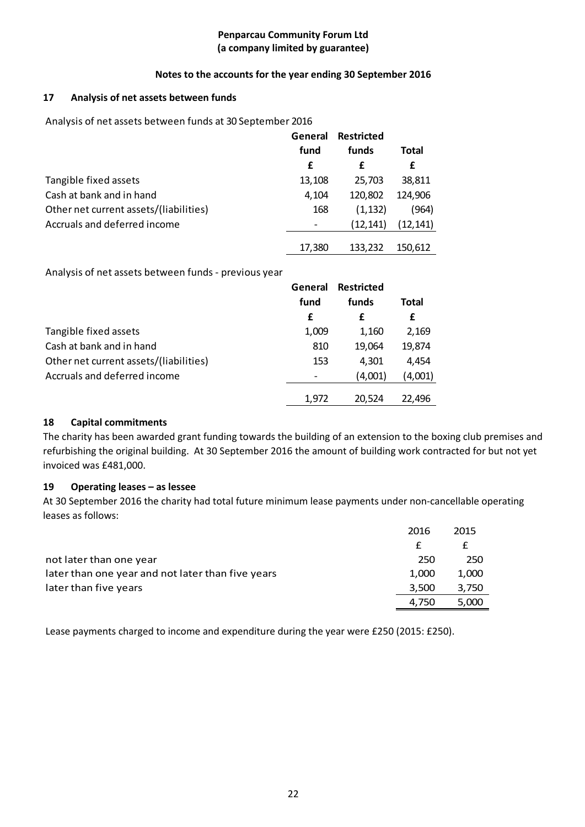# **Notes to the accounts for the year ending 30 September 2016**

# **17 Analysis of net assets between funds**

Analysis of net assets between funds at 30 September 2016

|                                        | General | <b>Restricted</b> |           |
|----------------------------------------|---------|-------------------|-----------|
|                                        | fund    | funds             | Total     |
|                                        | £       | £                 | £         |
| Tangible fixed assets                  | 13,108  | 25,703            | 38,811    |
| Cash at bank and in hand               | 4,104   | 120,802           | 124,906   |
| Other net current assets/(liabilities) | 168     | (1, 132)          | (964)     |
| Accruals and deferred income           |         | (12, 141)         | (12, 141) |
|                                        | 17,380  | 133,232           | 150,612   |

Analysis of net assets between funds - previous year

|                                        | General | <b>Restricted</b> |         |
|----------------------------------------|---------|-------------------|---------|
|                                        | fund    | funds             | Total   |
|                                        | £       | £                 | £       |
| Tangible fixed assets                  | 1,009   | 1,160             | 2,169   |
| Cash at bank and in hand               | 810     | 19,064            | 19,874  |
| Other net current assets/(liabilities) | 153     | 4,301             | 4,454   |
| Accruals and deferred income           |         | (4,001)           | (4,001) |
|                                        | 1.972   | 20.524            | 22.496  |

# **18 Capital commitments**

The charity has been awarded grant funding towards the building of an extension to the boxing club premises and refurbishing the original building. At 30 September 2016 the amount of building work contracted for but not yet invoiced was £481,000.

# **19 Operating leases – as lessee**

At 30 September 2016 the charity had total future minimum lease payments under non-cancellable operating leases as follows:

|                                                   | 2016  | 2015  |
|---------------------------------------------------|-------|-------|
|                                                   |       |       |
| not later than one year                           | 250   | 250   |
| later than one year and not later than five years | 1.000 | 1,000 |
| later than five years                             | 3.500 | 3,750 |
|                                                   | 4.750 | 5.000 |

Lease payments charged to income and expenditure during the year were £250 (2015: £250).